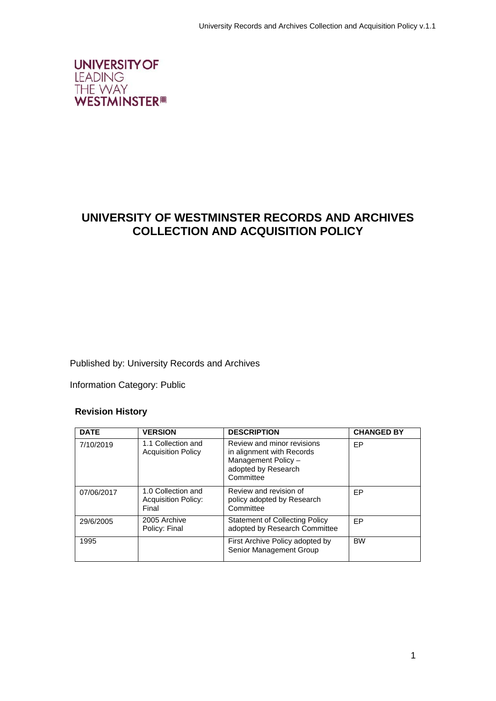

# **UNIVERSITY OF WESTMINSTER RECORDS AND ARCHIVES COLLECTION AND ACQUISITION POLICY**

Published by: University Records and Archives

Information Category: Public

#### **Revision History**

| <b>DATE</b> | <b>VERSION</b>                                            | <b>DESCRIPTION</b>                                                                                                 | <b>CHANGED BY</b> |
|-------------|-----------------------------------------------------------|--------------------------------------------------------------------------------------------------------------------|-------------------|
| 7/10/2019   | 1.1 Collection and<br><b>Acquisition Policy</b>           | Review and minor revisions<br>in alignment with Records<br>Management Policy -<br>adopted by Research<br>Committee | EP                |
| 07/06/2017  | 1.0 Collection and<br><b>Acquisition Policy:</b><br>Final | Review and revision of<br>policy adopted by Research<br>Committee                                                  | <b>FP</b>         |
| 29/6/2005   | 2005 Archive<br>Policy: Final                             | <b>Statement of Collecting Policy</b><br>adopted by Research Committee                                             | <b>FP</b>         |
| 1995        |                                                           | First Archive Policy adopted by<br>Senior Management Group                                                         | <b>BW</b>         |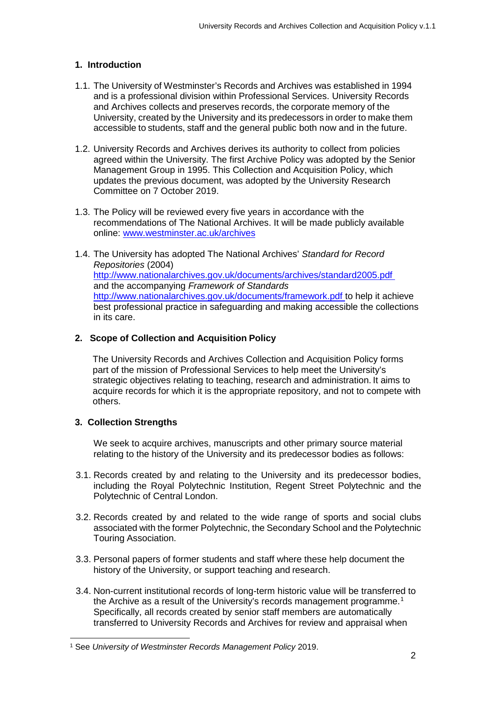# **1. Introduction**

- 1.1. The University of Westminster's Records and Archives was established in 1994 and is a professional division within Professional Services. University Records and Archives collects and preserves records, the corporate memory of the University, created by the University and its predecessors in order to make them accessible to students, staff and the general public both now and in the future.
- 1.2. University Records and Archives derives its authority to collect from policies agreed within the University. The first Archive Policy was adopted by the Senior Management Group in 1995. This Collection and Acquisition Policy, which updates the previous document, was adopted by the University Research Committee on 7 October 2019.
- 1.3. The Policy will be reviewed every five years in accordance with the recommendations of The National Archives. It will be made publicly available online: [www.westminster.ac.uk/archives](http://www.westminster.ac.uk/archives)
- 1.4. The University has adopted The National Archives' *Standard for Record Repositories* (2004) <http://www.nationalarchives.gov.uk/documents/archives/standard2005.pdf> and the accompanying *Framework of Standards* [http://www.nationalarchives.gov.uk/documents/framework.pdf t](http://www.nationalarchives.gov.uk/documents/framework.pdf)o help it achieve best professional practice in safeguarding and making accessible the collections in its care.

# **2. Scope of Collection and Acquisition Policy**

The University Records and Archives Collection and Acquisition Policy forms part of the mission of Professional Services to help meet the University's strategic objectives relating to teaching, research and administration. It aims to acquire records for which it is the appropriate repository, and not to compete with others.

#### **3. Collection Strengths**

We seek to acquire archives, manuscripts and other primary source material relating to the history of the University and its predecessor bodies as follows:

- 3.1. Records created by and relating to the University and its predecessor bodies, including the Royal Polytechnic Institution, Regent Street Polytechnic and the Polytechnic of Central London.
- 3.2. Records created by and related to the wide range of sports and social clubs associated with the former Polytechnic, the Secondary School and the Polytechnic Touring Association.
- 3.3. Personal papers of former students and staff where these help document the history of the University, or support teaching and research.
- 3.4. Non-current institutional records of long-term historic value will be transferred to the Archive as a result of the University's records management programme.<sup>[1](#page-1-0)</sup> Specifically, all records created by senior staff members are automatically transferred to University Records and Archives for review and appraisal when

<span id="page-1-0"></span> <sup>1</sup> See *University of Westminster Records Management Policy* 2019.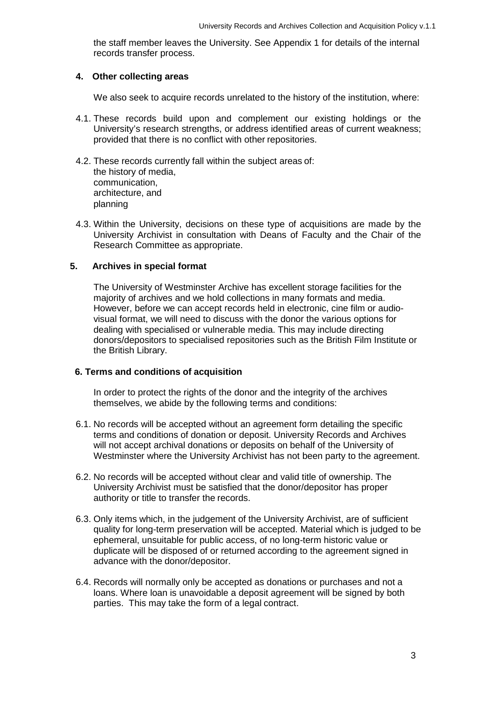the staff member leaves the University. See Appendix 1 for details of the internal records transfer process.

#### **4. Other collecting areas**

We also seek to acquire records unrelated to the history of the institution, where:

- 4.1. These records build upon and complement our existing holdings or the University's research strengths, or address identified areas of current weakness; provided that there is no conflict with other repositories.
- 4.2. These records currently fall within the subject areas of: the history of media, communication, architecture, and planning
- 4.3. Within the University, decisions on these type of acquisitions are made by the University Archivist in consultation with Deans of Faculty and the Chair of the Research Committee as appropriate.

#### **5. Archives in special format**

The University of Westminster Archive has excellent storage facilities for the majority of archives and we hold collections in many formats and media. However, before we can accept records held in electronic, cine film or audiovisual format, we will need to discuss with the donor the various options for dealing with specialised or vulnerable media. This may include directing donors/depositors to specialised repositories such as the British Film Institute or the British Library.

#### **6. Terms and conditions of acquisition**

In order to protect the rights of the donor and the integrity of the archives themselves, we abide by the following terms and conditions:

- 6.1. No records will be accepted without an agreement form detailing the specific terms and conditions of donation or deposit. University Records and Archives will not accept archival donations or deposits on behalf of the University of Westminster where the University Archivist has not been party to the agreement.
- 6.2. No records will be accepted without clear and valid title of ownership. The University Archivist must be satisfied that the donor/depositor has proper authority or title to transfer the records.
- 6.3. Only items which, in the judgement of the University Archivist, are of sufficient quality for long-term preservation will be accepted. Material which is judged to be ephemeral, unsuitable for public access, of no long-term historic value or duplicate will be disposed of or returned according to the agreement signed in advance with the donor/depositor.
- 6.4. Records will normally only be accepted as donations or purchases and not a loans. Where loan is unavoidable a deposit agreement will be signed by both parties. This may take the form of a legal contract.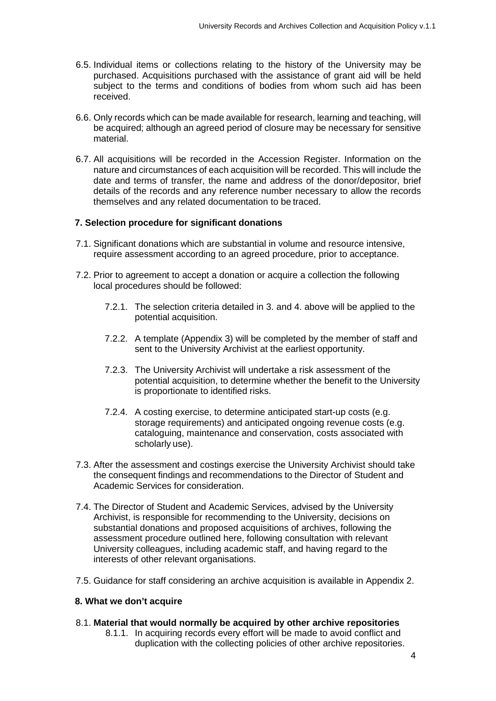- 6.5. Individual items or collections relating to the history of the University may be purchased. Acquisitions purchased with the assistance of grant aid will be held subject to the terms and conditions of bodies from whom such aid has been received.
- 6.6. Only records which can be made available for research, learning and teaching, will be acquired; although an agreed period of closure may be necessary for sensitive material.
- 6.7. All acquisitions will be recorded in the Accession Register. Information on the nature and circumstances of each acquisition will be recorded. This will include the date and terms of transfer, the name and address of the donor/depositor, brief details of the records and any reference number necessary to allow the records themselves and any related documentation to be traced.

#### **7. Selection procedure for significant donations**

- 7.1. Significant donations which are substantial in volume and resource intensive, require assessment according to an agreed procedure, prior to acceptance.
- 7.2. Prior to agreement to accept a donation or acquire a collection the following local procedures should be followed:
	- 7.2.1. The selection criteria detailed in 3. and 4. above will be applied to the potential acquisition.
	- 7.2.2. A template (Appendix 3) will be completed by the member of staff and sent to the University Archivist at the earliest opportunity.
	- 7.2.3. The University Archivist will undertake a risk assessment of the potential acquisition, to determine whether the benefit to the University is proportionate to identified risks.
	- 7.2.4. A costing exercise, to determine anticipated start-up costs (e.g. storage requirements) and anticipated ongoing revenue costs (e.g. cataloguing, maintenance and conservation, costs associated with scholarly use).
- 7.3. After the assessment and costings exercise the University Archivist should take the consequent findings and recommendations to the Director of Student and Academic Services for consideration.
- 7.4. The Director of Student and Academic Services, advised by the University Archivist, is responsible for recommending to the University, decisions on substantial donations and proposed acquisitions of archives, following the assessment procedure outlined here, following consultation with relevant University colleagues, including academic staff, and having regard to the interests of other relevant organisations.
- 7.5. Guidance for staff considering an archive acquisition is available in Appendix 2.

#### **8. What we don't acquire**

#### 8.1. **Material that would normally be acquired by other archive repositories**

8.1.1. In acquiring records every effort will be made to avoid conflict and duplication with the collecting policies of other archive repositories.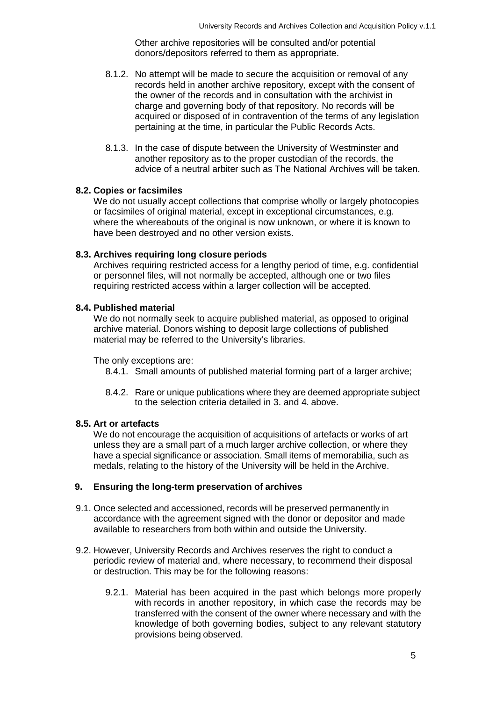Other archive repositories will be consulted and/or potential donors/depositors referred to them as appropriate.

- 8.1.2. No attempt will be made to secure the acquisition or removal of any records held in another archive repository, except with the consent of the owner of the records and in consultation with the archivist in charge and governing body of that repository. No records will be acquired or disposed of in contravention of the terms of any legislation pertaining at the time, in particular the Public Records Acts.
- 8.1.3. In the case of dispute between the University of Westminster and another repository as to the proper custodian of the records, the advice of a neutral arbiter such as The National Archives will be taken.

#### **8.2. Copies or facsimiles**

We do not usually accept collections that comprise wholly or largely photocopies or facsimiles of original material, except in exceptional circumstances, e.g. where the whereabouts of the original is now unknown, or where it is known to have been destroyed and no other version exists.

#### **8.3. Archives requiring long closure periods**

Archives requiring restricted access for a lengthy period of time, e.g. confidential or personnel files, will not normally be accepted, although one or two files requiring restricted access within a larger collection will be accepted.

#### **8.4. Published material**

We do not normally seek to acquire published material, as opposed to original archive material. Donors wishing to deposit large collections of published material may be referred to the University's libraries.

The only exceptions are:

- 8.4.1. Small amounts of published material forming part of a larger archive;
- 8.4.2. Rare or unique publications where they are deemed appropriate subject to the selection criteria detailed in 3. and 4. above.

#### **8.5. Art or artefacts**

We do not encourage the acquisition of acquisitions of artefacts or works of art unless they are a small part of a much larger archive collection, or where they have a special significance or association. Small items of memorabilia, such as medals, relating to the history of the University will be held in the Archive.

#### **9. Ensuring the long-term preservation of archives**

- 9.1. Once selected and accessioned, records will be preserved permanently in accordance with the agreement signed with the donor or depositor and made available to researchers from both within and outside the University.
- 9.2. However, University Records and Archives reserves the right to conduct a periodic review of material and, where necessary, to recommend their disposal or destruction. This may be for the following reasons:
	- 9.2.1. Material has been acquired in the past which belongs more properly with records in another repository, in which case the records may be transferred with the consent of the owner where necessary and with the knowledge of both governing bodies, subject to any relevant statutory provisions being observed.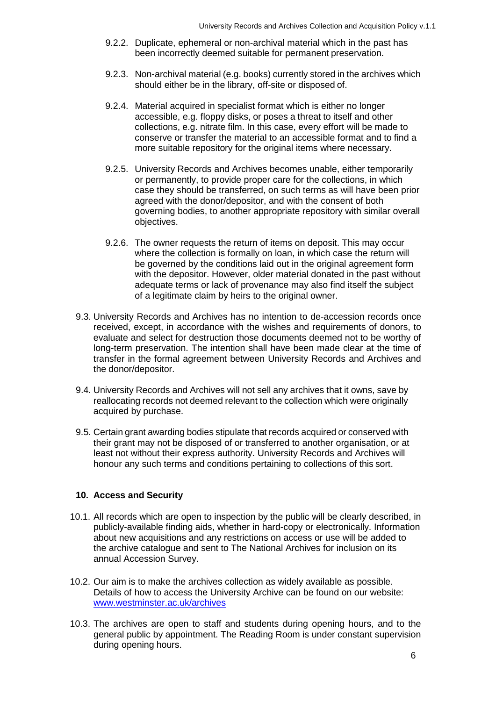- 9.2.2. Duplicate, ephemeral or non-archival material which in the past has been incorrectly deemed suitable for permanent preservation.
- 9.2.3. Non-archival material (e.g. books) currently stored in the archives which should either be in the library, off-site or disposed of.
- 9.2.4. Material acquired in specialist format which is either no longer accessible, e.g. floppy disks, or poses a threat to itself and other collections, e.g. nitrate film. In this case, every effort will be made to conserve or transfer the material to an accessible format and to find a more suitable repository for the original items where necessary.
- 9.2.5. University Records and Archives becomes unable, either temporarily or permanently, to provide proper care for the collections, in which case they should be transferred, on such terms as will have been prior agreed with the donor/depositor, and with the consent of both governing bodies, to another appropriate repository with similar overall objectives.
- 9.2.6. The owner requests the return of items on deposit. This may occur where the collection is formally on loan, in which case the return will be governed by the conditions laid out in the original agreement form with the depositor. However, older material donated in the past without adequate terms or lack of provenance may also find itself the subject of a legitimate claim by heirs to the original owner.
- 9.3. University Records and Archives has no intention to de-accession records once received, except, in accordance with the wishes and requirements of donors, to evaluate and select for destruction those documents deemed not to be worthy of long-term preservation. The intention shall have been made clear at the time of transfer in the formal agreement between University Records and Archives and the donor/depositor.
- 9.4. University Records and Archives will not sell any archives that it owns, save by reallocating records not deemed relevant to the collection which were originally acquired by purchase.
- 9.5. Certain grant awarding bodies stipulate that records acquired or conserved with their grant may not be disposed of or transferred to another organisation, or at least not without their express authority. University Records and Archives will honour any such terms and conditions pertaining to collections of this sort.

#### **10. Access and Security**

- 10.1. All records which are open to inspection by the public will be clearly described, in publicly-available finding aids, whether in hard-copy or electronically. Information about new acquisitions and any restrictions on access or use will be added to the archive catalogue and sent to The National Archives for inclusion on its annual Accession Survey.
- 10.2. Our aim is to make the archives collection as widely available as possible. Details of how to access the University Archive can be found on our website: [www.westminster.ac.uk/archives](http://www.westminster.ac.uk/archives)
- 10.3. The archives are open to staff and students during opening hours, and to the general public by appointment. The Reading Room is under constant supervision during opening hours.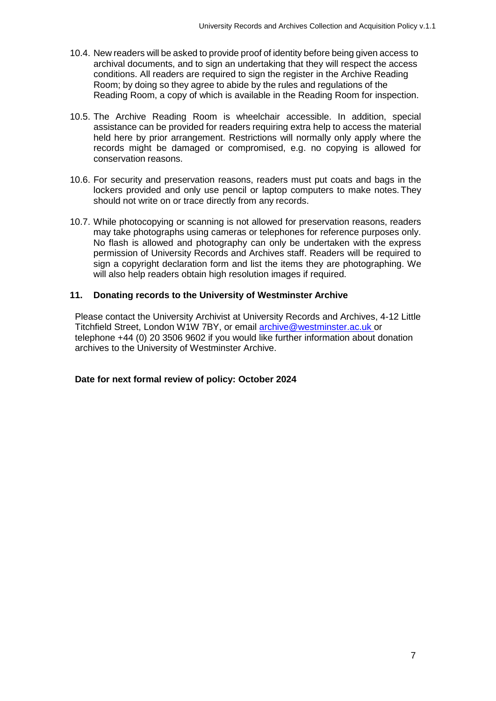- 10.4. New readers will be asked to provide proof of identity before being given access to archival documents, and to sign an undertaking that they will respect the access conditions. All readers are required to sign the register in the Archive Reading Room; by doing so they agree to abide by the rules and regulations of the Reading Room, a copy of which is available in the Reading Room for inspection.
- 10.5. The Archive Reading Room is wheelchair accessible. In addition, special assistance can be provided for readers requiring extra help to access the material held here by prior arrangement. Restrictions will normally only apply where the records might be damaged or compromised, e.g. no copying is allowed for conservation reasons.
- 10.6. For security and preservation reasons, readers must put coats and bags in the lockers provided and only use pencil or laptop computers to make notes. They should not write on or trace directly from any records.
- 10.7. While photocopying or scanning is not allowed for preservation reasons, readers may take photographs using cameras or telephones for reference purposes only. No flash is allowed and photography can only be undertaken with the express permission of University Records and Archives staff. Readers will be required to sign a copyright declaration form and list the items they are photographing. We will also help readers obtain high resolution images if required.

# **11. Donating records to the University of Westminster Archive**

Please contact the University Archivist at University Records and Archives, 4-12 Little Titchfield Street, London W1W 7BY, or email [archive@westminster.ac.uk o](mailto:archive@westminster.ac.uk)r telephone +44 (0) 20 3506 9602 if you would like further information about donation archives to the University of Westminster Archive.

**Date for next formal review of policy: October 2024**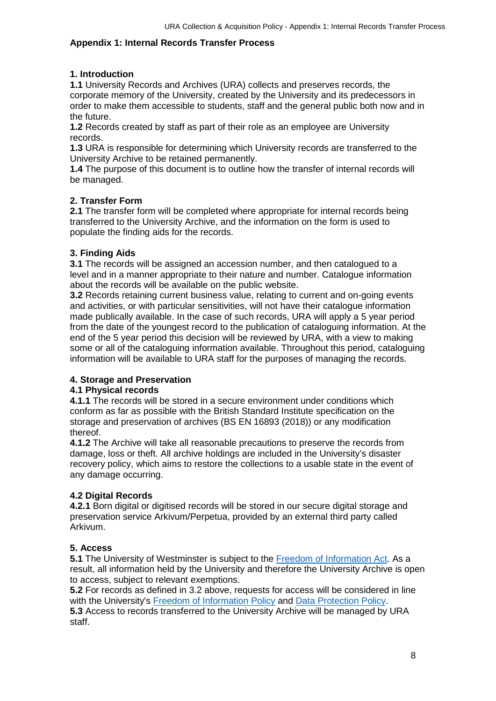# **Appendix 1: Internal Records Transfer Process**

# **1. Introduction**

**1.1** University Records and Archives (URA) collects and preserves records, the corporate memory of the University, created by the University and its predecessors in order to make them accessible to students, staff and the general public both now and in the future.

**1.2** Records created by staff as part of their role as an employee are University records.

**1.3** URA is responsible for determining which University records are transferred to the University Archive to be retained permanently.

**1.4** The purpose of this document is to outline how the transfer of internal records will be managed.

#### **2. Transfer Form**

**2.1** The transfer form will be completed where appropriate for internal records being transferred to the University Archive, and the information on the form is used to populate the finding aids for the records.

# **3. Finding Aids**

**3.1** The records will be assigned an accession number, and then catalogued to a level and in a manner appropriate to their nature and number. Catalogue information about the records will be available on the public website.

**3.2** Records retaining current business value, relating to current and on-going events and activities, or with particular sensitivities, will not have their catalogue information made publically available. In the case of such records, URA will apply a 5 year period from the date of the youngest record to the publication of cataloguing information. At the end of the 5 year period this decision will be reviewed by URA, with a view to making some or all of the cataloguing information available. Throughout this period, cataloguing information will be available to URA staff for the purposes of managing the records.

#### **4. Storage and Preservation**

#### **4.1 Physical records**

**4.1.1** The records will be stored in a secure environment under conditions which conform as far as possible with the British Standard Institute specification on the storage and preservation of archives (BS EN 16893 (2018)) or any modification thereof.

**4.1.2** The Archive will take all reasonable precautions to preserve the records from damage, loss or theft. All archive holdings are included in the University's disaster recovery policy, which aims to restore the collections to a usable state in the event of any damage occurring.

#### **4.2 Digital Records**

**4.2.1** Born digital or digitised records will be stored in our secure digital storage and preservation service Arkivum/Perpetua, provided by an external third party called Arkivum.

#### **5. Access**

**5.1** The University of Westminster is subject to the [Freedom of Information Act.](https://www.westminster.ac.uk/about-us/our-university/corporate-information/information-compliance-and-records-management/freedom-of-information) As a result, all information held by the University and therefore the University Archive is open to access, subject to relevant exemptions.

**5.2** For records as defined in 3.2 above, requests for access will be considered in line with the University's [Freedom of Information Policy](https://www.westminster.ac.uk/about-us/our-university/corporate-information/information-compliance-and-records-management/freedom-of-information) and [Data Protection Policy.](https://www.westminster.ac.uk/about-us/our-university/corporate-information/information-compliance-and-records-management/data-protection) **5.3** Access to records transferred to the University Archive will be managed by URA staff.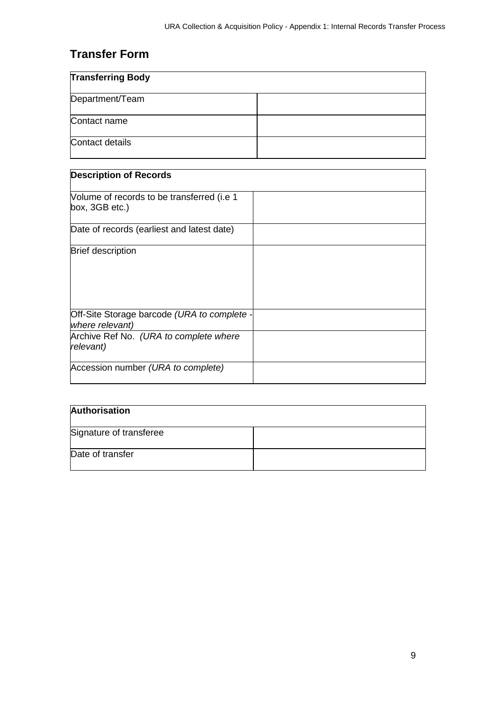# **Transfer Form**

| <b>Transferring Body</b> |  |
|--------------------------|--|
| Department/Team          |  |
| Contact name             |  |
| Contact details          |  |

| <b>Description of Records</b>                                  |  |
|----------------------------------------------------------------|--|
| Volume of records to be transferred (i.e 1<br>box, 3GB etc.)   |  |
| Date of records (earliest and latest date)                     |  |
| <b>Brief description</b>                                       |  |
| Off-Site Storage barcode (URA to complete -<br>where relevant) |  |
| Archive Ref No. (URA to complete where<br>relevant)            |  |
| Accession number (URA to complete)                             |  |

| Authorisation           |  |
|-------------------------|--|
| Signature of transferee |  |
| Date of transfer        |  |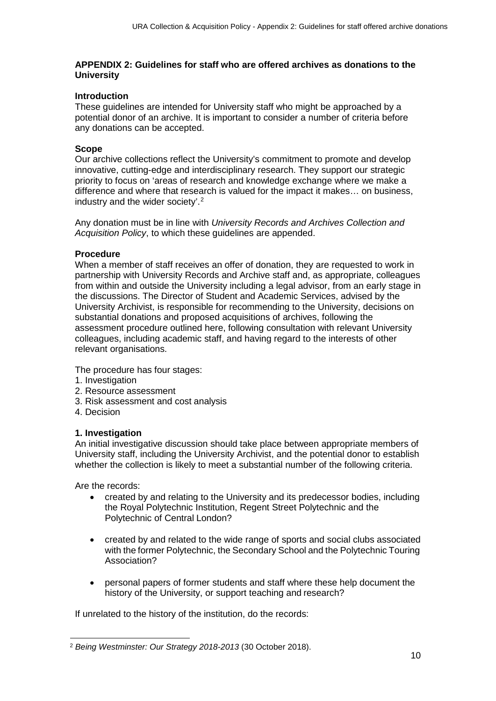#### **APPENDIX 2: Guidelines for staff who are offered archives as donations to the University**

#### **Introduction**

These guidelines are intended for University staff who might be approached by a potential donor of an archive. It is important to consider a number of criteria before any donations can be accepted.

#### **Scope**

Our archive collections reflect the University's commitment to promote and develop innovative, cutting-edge and interdisciplinary research. They support our strategic priority to focus on 'areas of research and knowledge exchange where we make a difference and where that research is valued for the impact it makes… on business, industry and the wider society'.[2](#page-9-0)

Any donation must be in line with *University Records and Archives Collection and Acquisition Policy*, to which these guidelines are appended.

#### **Procedure**

When a member of staff receives an offer of donation, they are requested to work in partnership with University Records and Archive staff and, as appropriate, colleagues from within and outside the University including a legal advisor, from an early stage in the discussions. The Director of Student and Academic Services, advised by the University Archivist, is responsible for recommending to the University, decisions on substantial donations and proposed acquisitions of archives, following the assessment procedure outlined here, following consultation with relevant University colleagues, including academic staff, and having regard to the interests of other relevant organisations.

The procedure has four stages:

- 1. Investigation
- 2. Resource assessment
- 3. Risk assessment and cost analysis
- 4. Decision

#### **1. Investigation**

An initial investigative discussion should take place between appropriate members of University staff, including the University Archivist, and the potential donor to establish whether the collection is likely to meet a substantial number of the following criteria.

Are the records:

- created by and relating to the University and its predecessor bodies, including the Royal Polytechnic Institution, Regent Street Polytechnic and the Polytechnic of Central London?
- created by and related to the wide range of sports and social clubs associated with the former Polytechnic, the Secondary School and the Polytechnic Touring Association?
- personal papers of former students and staff where these help document the history of the University, or support teaching and research?

If unrelated to the history of the institution, do the records:

<span id="page-9-0"></span> <sup>2</sup> *Being Westminster: Our Strategy 2018-2013* (30 October 2018).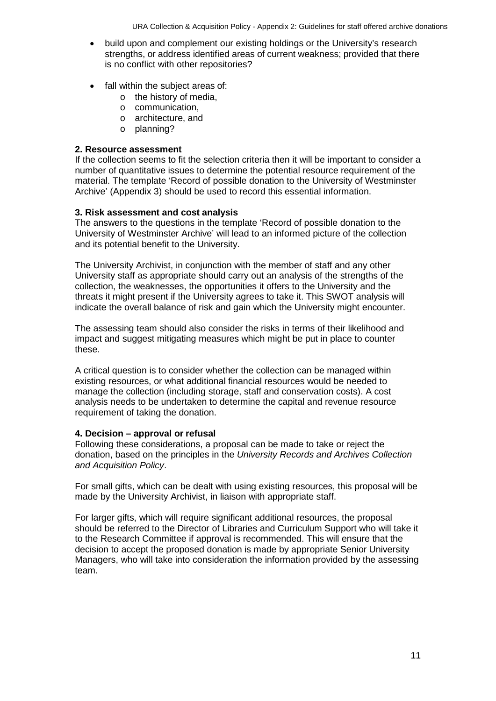- build upon and complement our existing holdings or the University's research strengths, or address identified areas of current weakness; provided that there is no conflict with other repositories?
- fall within the subject areas of:
	- o the history of media,
	- o communication,
	- o architecture, and
	- o planning?

# **2. Resource assessment**

If the collection seems to fit the selection criteria then it will be important to consider a number of quantitative issues to determine the potential resource requirement of the material. The template 'Record of possible donation to the University of Westminster Archive' (Appendix 3) should be used to record this essential information.

# **3. Risk assessment and cost analysis**

The answers to the questions in the template 'Record of possible donation to the University of Westminster Archive' will lead to an informed picture of the collection and its potential benefit to the University.

The University Archivist, in conjunction with the member of staff and any other University staff as appropriate should carry out an analysis of the strengths of the collection, the weaknesses, the opportunities it offers to the University and the threats it might present if the University agrees to take it. This SWOT analysis will indicate the overall balance of risk and gain which the University might encounter.

The assessing team should also consider the risks in terms of their likelihood and impact and suggest mitigating measures which might be put in place to counter these.

A critical question is to consider whether the collection can be managed within existing resources, or what additional financial resources would be needed to manage the collection (including storage, staff and conservation costs). A cost analysis needs to be undertaken to determine the capital and revenue resource requirement of taking the donation.

# **4. Decision – approval or refusal**

Following these considerations, a proposal can be made to take or reject the donation, based on the principles in the *University Records and Archives Collection and Acquisition Policy*.

For small gifts, which can be dealt with using existing resources, this proposal will be made by the University Archivist, in liaison with appropriate staff.

For larger gifts, which will require significant additional resources, the proposal should be referred to the Director of Libraries and Curriculum Support who will take it to the Research Committee if approval is recommended. This will ensure that the decision to accept the proposed donation is made by appropriate Senior University Managers, who will take into consideration the information provided by the assessing team.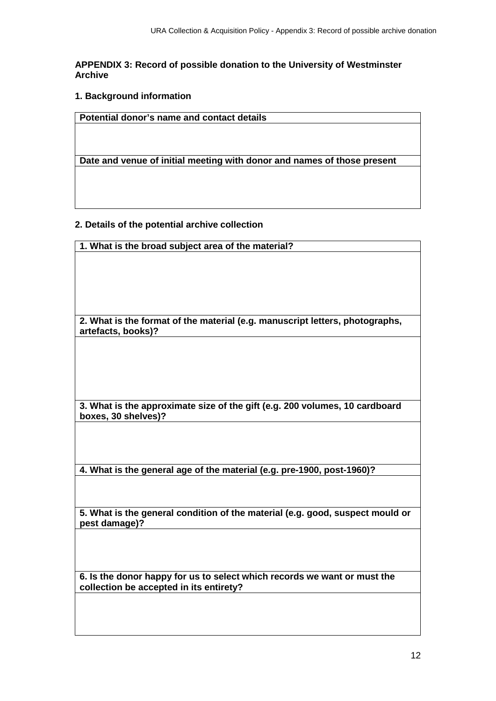#### **APPENDIX 3: Record of possible donation to the University of Westminster Archive**

**1. Background information**

**Potential donor's name and contact details**

**Date and venue of initial meeting with donor and names of those present**

#### **2. Details of the potential archive collection**

**1. What is the broad subject area of the material?**

**2. What is the format of the material (e.g. manuscript letters, photographs, artefacts, books)?**

**3. What is the approximate size of the gift (e.g. 200 volumes, 10 cardboard boxes, 30 shelves)?**

**4. What is the general age of the material (e.g. pre-1900, post-1960)?**

**5. What is the general condition of the material (e.g. good, suspect mould or pest damage)?**

**6. Is the donor happy for us to select which records we want or must the collection be accepted in its entirety?**